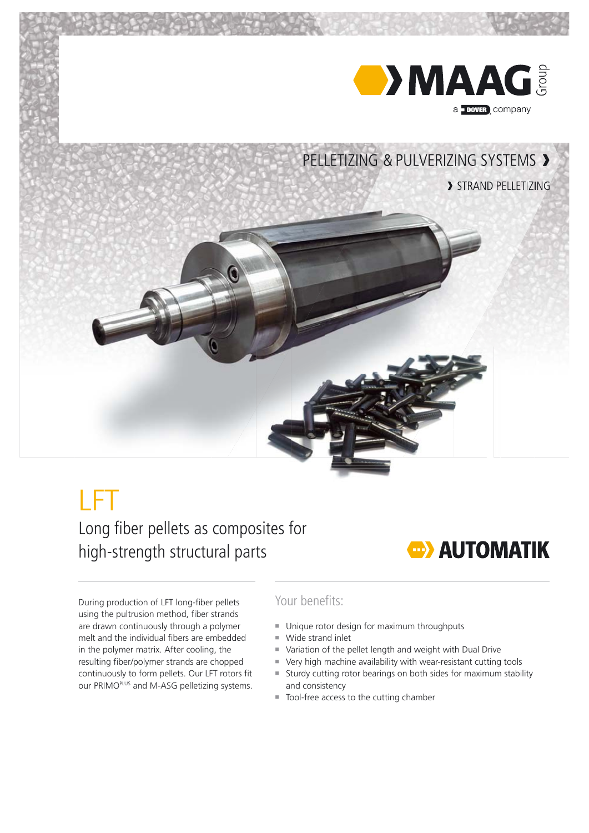

## LFT

Long fiber pellets as composites for high-strength structural parts



Your benefits:

- Unique rotor design for maximum throughputs
- ¡ Wide strand inlet
- ¡ Variation of the pellet length and weight with Dual Drive
- ¡ Very high machine availability with wear-resistant cutting tools
- ¡ Sturdy cutting rotor bearings on both sides for maximum stability and consistency
- Tool-free access to the cutting chamber

During production of LFT long-fiber pellets using the pultrusion method, fiber strands are drawn continuously through a polymer melt and the individual fibers are embedded in the polymer matrix. After cooling, the resulting fiber/polymer strands are chopped continuously to form pellets. Our LFT rotors fit our PRIMOPLUS and M-ASG pelletizing systems.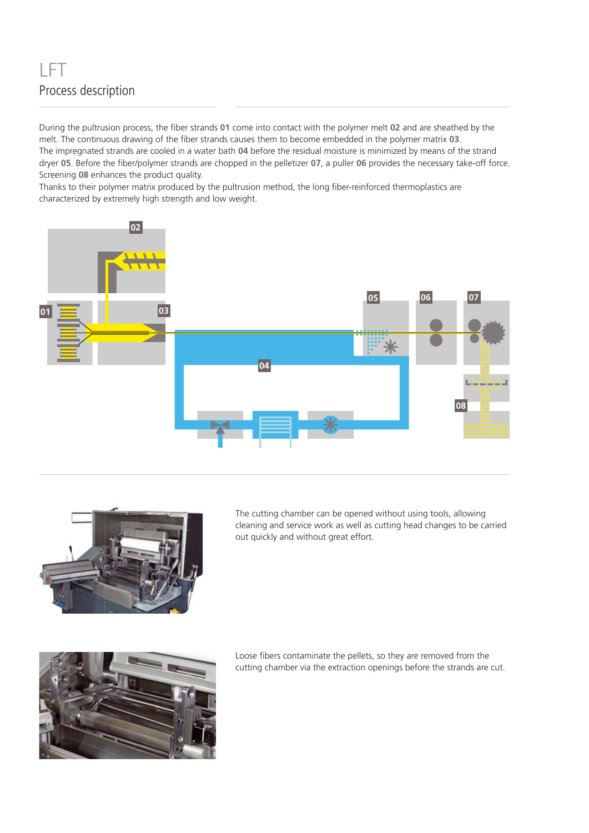## LFT Process description

During the pultrusion process, the fiber strands 01 come into contact with the polymer melt 02 and are sheathed by the melt. The continuous drawing of the fiber strands causes them to become embedded in the polymer matrix 03. The impregnated strands are cooled in a water bath **04** before the residual moisture is minimized by means of the strand dryer 05. Before the fiber/polymer strands are chopped in the pelletizer 07, a puller 06 provides the necessary take-off force. Screening **08** enhances the product quality.

Thanks to their polymer matrix produced by the pultrusion method, the long fiber-reinforced thermoplastics are characterized by extremely high strength and low weight.





The cutting chamber can be opened without using tools, allowing cleaning and service work as well as cutting head changes to be carried out quickly and without great effort.



Loose fibers contaminate the pellets, so they are removed from the cutting chamber via the extraction openings before the strands are cut.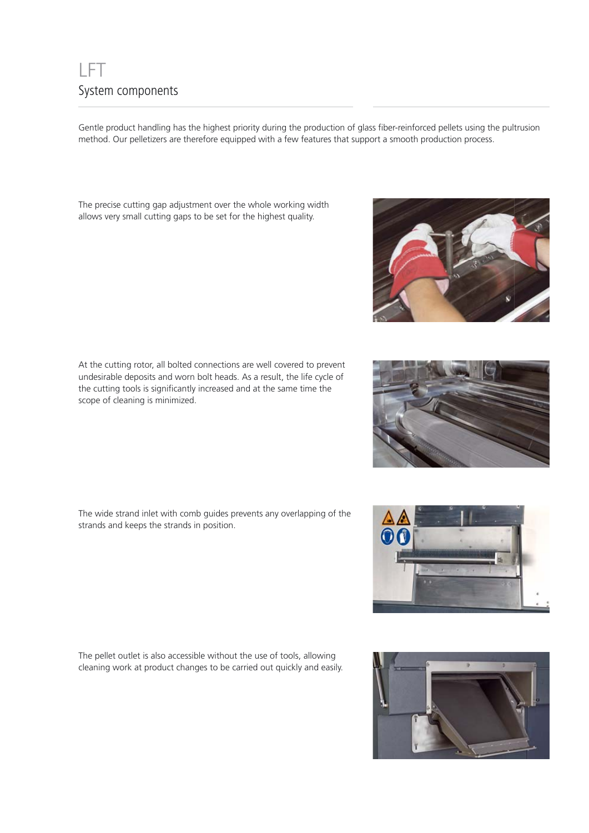## LFT System components

Gentle product handling has the highest priority during the production of glass fiber-reinforced pellets using the pultrusion method. Our pelletizers are therefore equipped with a few features that support a smooth production process.

The precise cutting gap adjustment over the whole working width allows very small cutting gaps to be set for the highest quality.

At the cutting rotor, all bolted connections are well covered to prevent undesirable deposits and worn bolt heads. As a result, the life cycle of the cutting tools is significantly increased and at the same time the scope of cleaning is minimized.

The wide strand inlet with comb guides prevents any overlapping of the strands and keeps the strands in position.

The pellet outlet is also accessible without the use of tools, allowing cleaning work at product changes to be carried out quickly and easily.